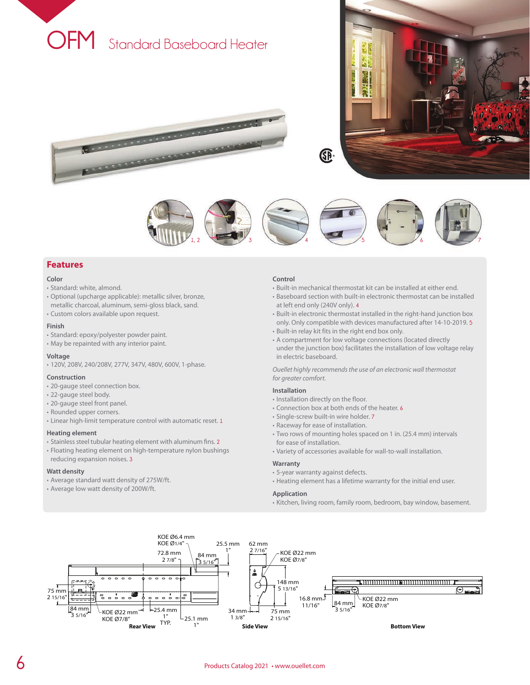

**Representative Concernsion** 

**Representative Concession** 





## **Features**

#### **Color**

- Standard: white, almond.
- Optional (upcharge applicable): metallic silver, bronze, metallic charcoal, aluminum, semi-gloss black, sand.
- Custom colors available upon request.

### **Finish**

- Standard: epoxy/polyester powder paint.
- May be repainted with any interior paint.

#### **Voltage**

• 120V, 208V, 240/208V, 277V, 347V, 480V, 600V, 1-phase.

#### **Construction**

- 20-gauge steel connection box.
- 22-gauge steel body.
- 20-gauge steel front panel.
- Rounded upper corners.
- Linear high-limit temperature control with automatic reset. **1**

#### **Heating element**

- Stainless steel tubular heating element with aluminum fins. **2**
- Floating heating element on high-temperature nylon bushings reducing expansion noises. **3**

#### **Watt density**

- Average standard watt density of 275W/ft.
- Average low watt density of 200W/ft.

#### **Control**

- Built-in mechanical thermostat kit can be installed at either end.
- Baseboard section with built-in electronic thermostat can be installed at left end only (240V only). **4**
- Built-in electronic thermostat installed in the right-hand junction box only. Only compatible with devices manufactured after 14-10-2019. **5**
- Built-in relay kit fits in the right end box only.
- A compartment for low voltage connections (located directly under the junction box) facilitates the installation of low voltage relay in electric baseboard.

*Ouellet highly recommends the use of an electronic wall thermostat for greater comfort.*

### **Installation**

- Installation directly on the floor.
- Connection box at both ends of the heater. **6**
- Single-screw built-in wire holder. **7**
- Raceway for ease of installation.
- Two rows of mounting holes spaced on 1 in. (25.4 mm) intervals for ease of installation.
- Variety of accessories available for wall-to-wall installation.

#### **Warranty**

- 5-year warranty against defects.
- Heating element has a lifetime warranty for the initial end user.

### **Application**

• Kitchen, living room, family room, bedroom, bay window, basement.